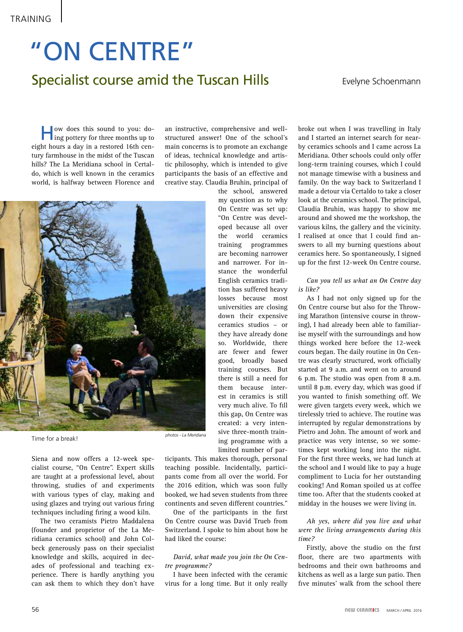## Specialist course amid the Tuscan Hills "ON CENTRE"

Evelyne Schoenmann

How does this sound to you: do-ing pottery for three months up to eight hours a day in a restored 16th century farmhouse in the midst of the Tuscan hills? The La Meridiana school in Certaldo, which is well known in the ceramics world, is halfway between Florence and

an instructive, comprehensive and wellstructured answer! One of the school's main concerns is to promote an exchange of ideas, technical knowledge and artistic philosophy, which is intended to give participants the basis of an effective and creative stay. Claudia Bruhin, principal of

> the school, answered my question as to why On Centre was set up: "On Centre was developed because all over the world ceramics training programmes are becoming narrower and narrower. For instance the wonderful English ceramics tradition has suffered heavy losses because most universities are closing down their expensive ceramics studios – or they have already done so. Worldwide, there are fewer and fewer good, broadly based training courses. But there is still a need for them because interest in ceramics is still very much alive. To fill this gap, On Centre was created: a very intensive three-month training programme with a



Siena and now offers a 12-week specialist course, "On Centre". Expert skills are taught at a professional level, about throwing, studies of and experiments with various types of clay, making and using glazes and trying out various firing techniques including firing a wood kiln.

The two ceramists Pietro Maddalena (founder and proprietor of the La Meridiana ceramics school) and John Colbeck generously pass on their specialist knowledge and skills, acquired in decades of professional and teaching experience. There is hardly anything you can ask them to which they don't have

limited number of participants. This makes thorough, personal teaching possible. Incidentally, participants come from all over the world. For the 2016 edition, which was soon fully booked, we had seven students from three continents and seven different countries."

One of the participants in the first On Centre course was David Trueb from Switzerland. I spoke to him about how he had liked the course:

*David, what made you join the On Centre programme?*

I have been infected with the ceramic virus for a long time. But it only really

broke out when I was travelling in Italy and I started an internet search for nearby ceramics schools and I came across La Meridiana. Other schools could only offer long-term training courses, which I could not manage timewise with a business and family. On the way back to Switzerland I made a detour via Certaldo to take a closer look at the ceramics school. The principal, Claudia Bruhin, was happy to show me around and showed me the workshop, the various kilns, the gallery and the vicinity. I realised at once that I could find answers to all my burning questions about ceramics here. So spontaneously, I signed up for the first 12-week On Centre course.

*Can you tell us what an On Centre day is like?*

As I had not only signed up for the On Centre course but also for the Throwing Marathon (intensive course in throwing), I had already been able to familiarise myself with the surroundings and how things worked here before the 12-week cours began. The daily routine in On Centre was clearly structured, work officially started at 9 a.m. and went on to around 6 p.m. The studio was open from 8 a.m. until 8 p.m. every day, which was good if you wanted to finish something off. We were given targets every week, which we tirelessly tried to achieve. The routine was interrupted by regular demonstrations by Pietro and John. The amount of work and practice was very intense, so we sometimes kept working long into the night. For the first three weeks, we had lunch at the school and I would like to pay a huge compliment to Lucia for her outstanding cooking! And Roman spoiled us at coffee time too. After that the students cooked at midday in the houses we were living in.

*Ah yes, where did you live and what were the living arrangements during this time?*

Firstly, above the studio on the first floor, there are two apartments with bedrooms and their own bathrooms and kitchens as well as a large sun patio. Then five minutes' walk from the school there